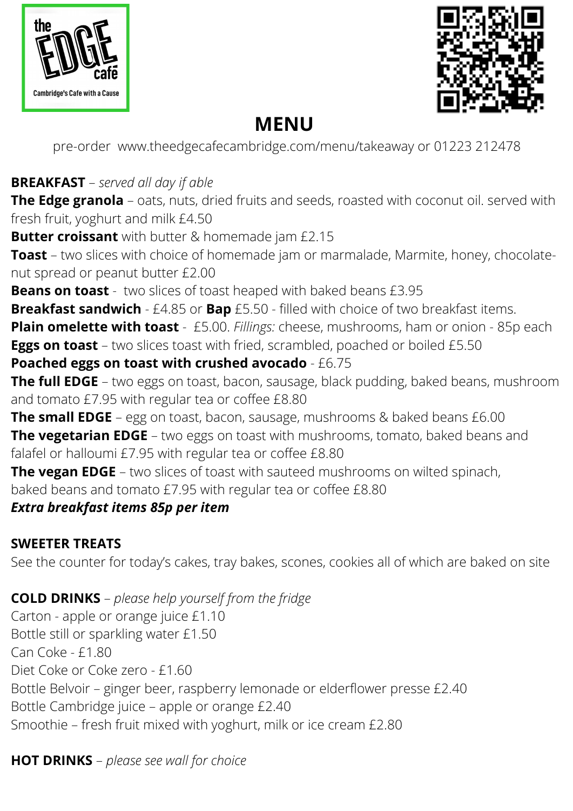



# **MENU**

pre-order www.theedgecafecambridge.com/menu/takeaway or 01223 212478

## **BREAKFAST** – *served all day if able*

**The Edge granola** – oats, nuts, dried fruits and seeds, roasted with coconut oil. served with fresh fruit, yoghurt and milk £4.50

**Butter croissant** with butter & homemade jam £2.15

**Toast** – two slices with choice of homemade jam or marmalade, Marmite, honey, chocolatenut spread or peanut butter £2.00

**Beans on toast** - two slices of toast heaped with baked beans £3.95

**Breakfast sandwich** - £4.85 or **Bap** £5.50 - filled with choice of two breakfast items.

**Plain omelette with toast** - £5.00. *Fillings:* cheese, mushrooms, ham or onion - 85p each **Eggs on toast** – two slices toast with fried, scrambled, poached or boiled £5.50

#### **Poached eggs on toast with crushed avocado** - £6.75

**The full EDGE** – two eggs on toast, bacon, sausage, black pudding, baked beans, mushroom and tomato £7.95 with regular tea or coffee £8.80

**The small EDGE** – egg on toast, bacon, sausage, mushrooms & baked beans £6.00

**The vegetarian EDGE** – two eggs on toast with mushrooms, tomato, baked beans and falafel or halloumi £7.95 with regular tea or coffee £8.80

**The vegan EDGE** – two slices of toast with sauteed mushrooms on wilted spinach, baked beans and tomato £7.95 with regular tea or coffee £8.80

#### *Extra breakfast items 85p per item*

### **SWEETER TREATS**

See the counter for today's cakes, tray bakes, scones, cookies all of which are baked on site

**COLD DRINKS** – *please help yourself from the fridge*

Carton - apple or orange juice £1.10 Bottle still or sparkling water £1.50 Can Coke - £1.80 Diet Coke or Coke zero - £1.60 Bottle Belvoir – ginger beer, raspberry lemonade or elderflower presse £2.40 Bottle Cambridge juice – apple or orange £2.40 Smoothie – fresh fruit mixed with yoghurt, milk or ice cream £2.80

### **HOT DRINKS** – *please see wall for choice*